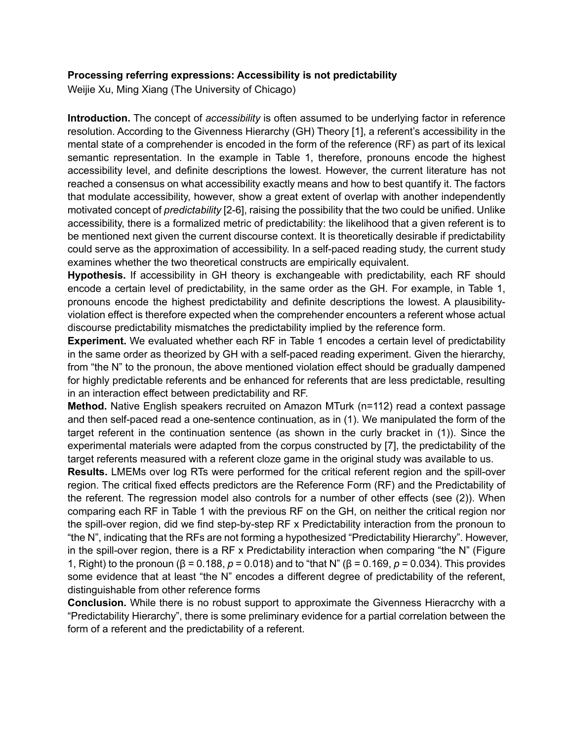## **Processing referring expressions: Accessibility is not predictability**

Weijie Xu, Ming Xiang (The University of Chicago)

**Introduction.** The concept of *accessibility* is often assumed to be underlying factor in reference resolution. According to the Givenness Hierarchy (GH) Theory [1], a referent's accessibility in the mental state of a comprehender is encoded in the form of the reference (RF) as part of its lexical semantic representation. In the example in Table 1, therefore, pronouns encode the highest accessibility level, and definite descriptions the lowest. However, the current literature has not reached a consensus on what accessibility exactly means and how to best quantify it. The factors that modulate accessibility, however, show a great extent of overlap with another independently motivated concept of *predictability* [2-6], raising the possibility that the two could be unified. Unlike accessibility, there is a formalized metric of predictability: the likelihood that a given referent is to be mentioned next given the current discourse context. It is theoretically desirable if predictability could serve as the approximation of accessibility. In a self-paced reading study, the current study examines whether the two theoretical constructs are empirically equivalent.

**Hypothesis.** If accessibility in GH theory is exchangeable with predictability, each RF should encode a certain level of predictability, in the same order as the GH. For example, in Table 1, pronouns encode the highest predictability and definite descriptions the lowest. A plausibilityviolation effect is therefore expected when the comprehender encounters a referent whose actual discourse predictability mismatches the predictability implied by the reference form.

**Experiment.** We evaluated whether each RF in Table 1 encodes a certain level of predictability in the same order as theorized by GH with a self-paced reading experiment. Given the hierarchy, from "the N" to the pronoun, the above mentioned violation effect should be gradually dampened for highly predictable referents and be enhanced for referents that are less predictable, resulting in an interaction effect between predictability and RF.

**Method.** Native English speakers recruited on Amazon MTurk (n=112) read a context passage and then self-paced read a one-sentence continuation, as in (1). We manipulated the form of the target referent in the continuation sentence (as shown in the curly bracket in (1)). Since the experimental materials were adapted from the corpus constructed by [7], the predictability of the target referents measured with a referent cloze game in the original study was available to us.

**Results.** LMEMs over log RTs were performed for the critical referent region and the spill-over region. The critical fixed effects predictors are the Reference Form (RF) and the Predictability of the referent. The regression model also controls for a number of other effects (see (2)). When comparing each RF in Table 1 with the previous RF on the GH, on neither the critical region nor the spill-over region, did we find step-by-step RF x Predictability interaction from the pronoun to "the N", indicating that the RFs are not forming a hypothesized "Predictability Hierarchy". However, in the spill-over region, there is a RF x Predictability interaction when comparing "the N" (Figure 1, Right) to the pronoun (β = 0.188, *p* = 0.018) and to "that N" (β = 0.169, *p* = 0.034). This provides some evidence that at least "the N" encodes a different degree of predictability of the referent, distinguishable from other reference forms

**Conclusion.** While there is no robust support to approximate the Givenness Hieracrchy with a "Predictability Hierarchy", there is some preliminary evidence for a partial correlation between the form of a referent and the predictability of a referent.